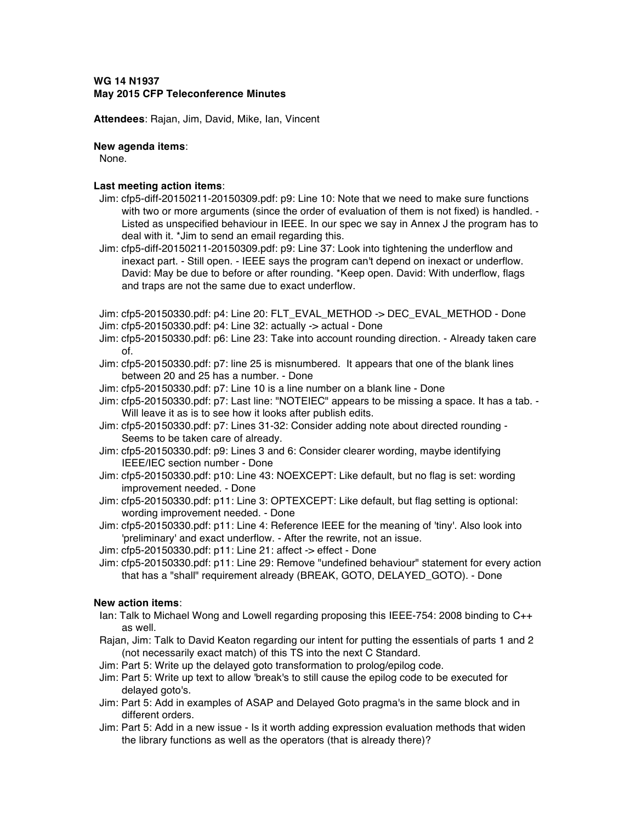# **WG 14 N1937 May 2015 CFP Teleconference Minutes**

**Attendees**: Rajan, Jim, David, Mike, Ian, Vincent

#### **New agenda items**:

None.

### **Last meeting action items**:

- Jim: cfp5-diff-20150211-20150309.pdf: p9: Line 10: Note that we need to make sure functions with two or more arguments (since the order of evaluation of them is not fixed) is handled. -Listed as unspecified behaviour in IEEE. In our spec we say in Annex J the program has to deal with it. \*Jim to send an email regarding this.
- Jim: cfp5-diff-20150211-20150309.pdf: p9: Line 37: Look into tightening the underflow and inexact part. - Still open. - IEEE says the program can't depend on inexact or underflow. David: May be due to before or after rounding. \*Keep open. David: With underflow, flags and traps are not the same due to exact underflow.

Jim: cfp5-20150330.pdf: p4: Line 20: FLT\_EVAL\_METHOD -> DEC\_EVAL\_METHOD - Done Jim: cfp5-20150330.pdf: p4: Line 32: actually -> actual - Done

- Jim: cfp5-20150330.pdf: p6: Line 23: Take into account rounding direction. Already taken care of.
- Jim: cfp5-20150330.pdf: p7: line 25 is misnumbered. It appears that one of the blank lines between 20 and 25 has a number. - Done
- Jim: cfp5-20150330.pdf: p7: Line 10 is a line number on a blank line Done
- Jim: cfp5-20150330.pdf: p7: Last line: "NOTEIEC" appears to be missing a space. It has a tab. Will leave it as is to see how it looks after publish edits.
- Jim: cfp5-20150330.pdf: p7: Lines 31-32: Consider adding note about directed rounding Seems to be taken care of already.
- Jim: cfp5-20150330.pdf: p9: Lines 3 and 6: Consider clearer wording, maybe identifying IEEE/IEC section number - Done
- Jim: cfp5-20150330.pdf: p10: Line 43: NOEXCEPT: Like default, but no flag is set: wording improvement needed. - Done
- Jim: cfp5-20150330.pdf: p11: Line 3: OPTEXCEPT: Like default, but flag setting is optional: wording improvement needed. - Done
- Jim: cfp5-20150330.pdf: p11: Line 4: Reference IEEE for the meaning of 'tiny'. Also look into 'preliminary' and exact underflow. - After the rewrite, not an issue.
- Jim: cfp5-20150330.pdf: p11: Line 21: affect -> effect Done
- Jim: cfp5-20150330.pdf: p11: Line 29: Remove "undefined behaviour" statement for every action that has a "shall" requirement already (BREAK, GOTO, DELAYED\_GOTO). - Done

## **New action items**:

- Ian: Talk to Michael Wong and Lowell regarding proposing this IEEE-754: 2008 binding to C++ as well.
- Rajan, Jim: Talk to David Keaton regarding our intent for putting the essentials of parts 1 and 2 (not necessarily exact match) of this TS into the next C Standard.
- Jim: Part 5: Write up the delayed goto transformation to prolog/epilog code.
- Jim: Part 5: Write up text to allow 'break's to still cause the epilog code to be executed for delayed goto's.
- Jim: Part 5: Add in examples of ASAP and Delayed Goto pragma's in the same block and in different orders.
- Jim: Part 5: Add in a new issue Is it worth adding expression evaluation methods that widen the library functions as well as the operators (that is already there)?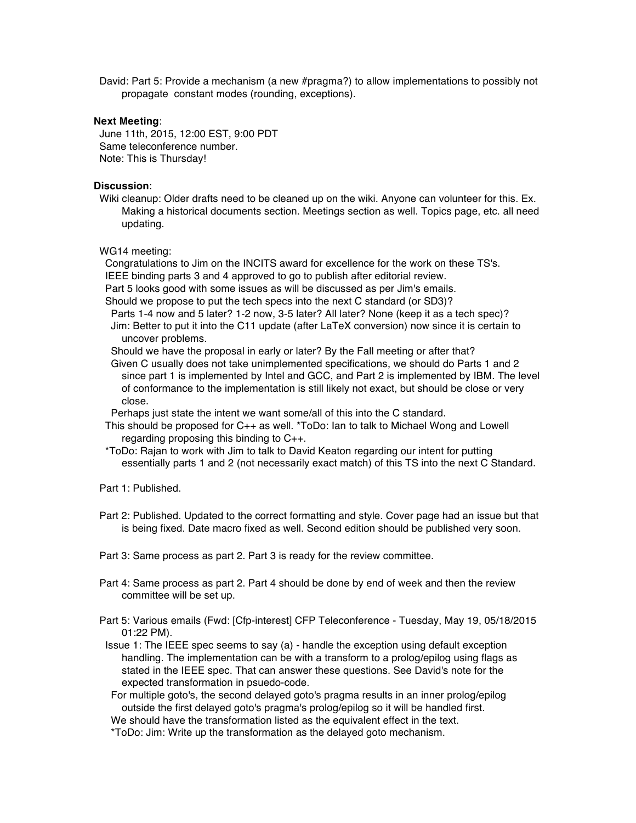David: Part 5: Provide a mechanism (a new #pragma?) to allow implementations to possibly not propagate constant modes (rounding, exceptions).

#### **Next Meeting**:

June 11th, 2015, 12:00 EST, 9:00 PDT Same teleconference number. Note: This is Thursday!

#### **Discussion**:

Wiki cleanup: Older drafts need to be cleaned up on the wiki. Anyone can volunteer for this. Ex. Making a historical documents section. Meetings section as well. Topics page, etc. all need updating.

# WG14 meeting:

Congratulations to Jim on the INCITS award for excellence for the work on these TS's. IEEE binding parts 3 and 4 approved to go to publish after editorial review.

Part 5 looks good with some issues as will be discussed as per Jim's emails.

Should we propose to put the tech specs into the next C standard (or SD3)?

Parts 1-4 now and 5 later? 1-2 now, 3-5 later? All later? None (keep it as a tech spec)? Jim: Better to put it into the C11 update (after LaTeX conversion) now since it is certain to uncover problems.

Should we have the proposal in early or later? By the Fall meeting or after that?

Given C usually does not take unimplemented specifications, we should do Parts 1 and 2 since part 1 is implemented by Intel and GCC, and Part 2 is implemented by IBM. The level of conformance to the implementation is still likely not exact, but should be close or very close.

Perhaps just state the intent we want some/all of this into the C standard.

- This should be proposed for C++ as well. \*ToDo: Ian to talk to Michael Wong and Lowell regarding proposing this binding to C++.
- \*ToDo: Rajan to work with Jim to talk to David Keaton regarding our intent for putting essentially parts 1 and 2 (not necessarily exact match) of this TS into the next C Standard.

Part 1: Published.

Part 2: Published. Updated to the correct formatting and style. Cover page had an issue but that is being fixed. Date macro fixed as well. Second edition should be published very soon.

Part 3: Same process as part 2. Part 3 is ready for the review committee.

- Part 4: Same process as part 2. Part 4 should be done by end of week and then the review committee will be set up.
- Part 5: Various emails (Fwd: [Cfp-interest] CFP Teleconference Tuesday, May 19, 05/18/2015 01:22 PM).
- Issue 1: The IEEE spec seems to say (a) handle the exception using default exception handling. The implementation can be with a transform to a prolog/epilog using flags as stated in the IEEE spec. That can answer these questions. See David's note for the expected transformation in psuedo-code.

For multiple goto's, the second delayed goto's pragma results in an inner prolog/epilog outside the first delayed goto's pragma's prolog/epilog so it will be handled first.

We should have the transformation listed as the equivalent effect in the text.

\*ToDo: Jim: Write up the transformation as the delayed goto mechanism.